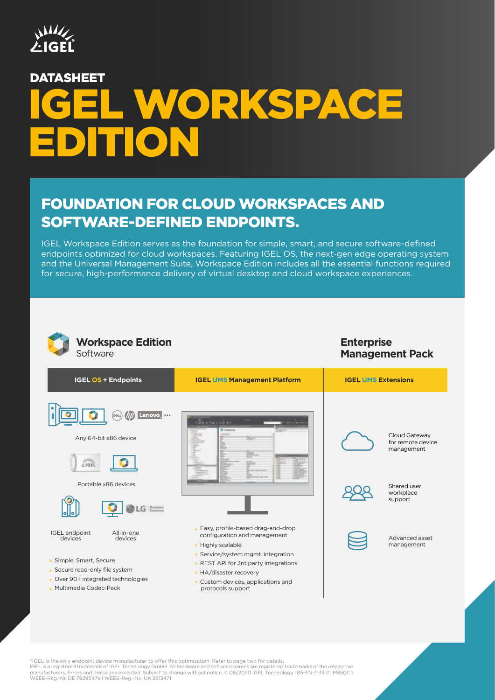

# L WORKSPACE EDITION DATASHEET

# FOUNDATION FOR CLOUD WORKSPACES AND SOFTWARE-DEFINED ENDPOINTS.

IGEL Workspace Edition serves as the foundation for simple, smart, and secure software-defined endpoints optimized for cloud workspaces. Featuring IGEL OS, the next-gen edge operating system and the Universal Management Suite, Workspace Edition includes all the essential functions required for secure, high-performance delivery of virtual desktop and cloud workspace experiences.



\*IGEL Is the only endpoint device manufacturer to offer this optimization. Refer to page two for details. IGEL is a registered trademark of IGEL Technology GmbH. All hardware and software names are registered trademarks of the respective<br>manufacturers. Errors and omissions excepted. Subject to change without notice. © 06/2020 WEEE-Reg.-Nr. DE 79295479 I WEEE-Reg.-No. UK 5613471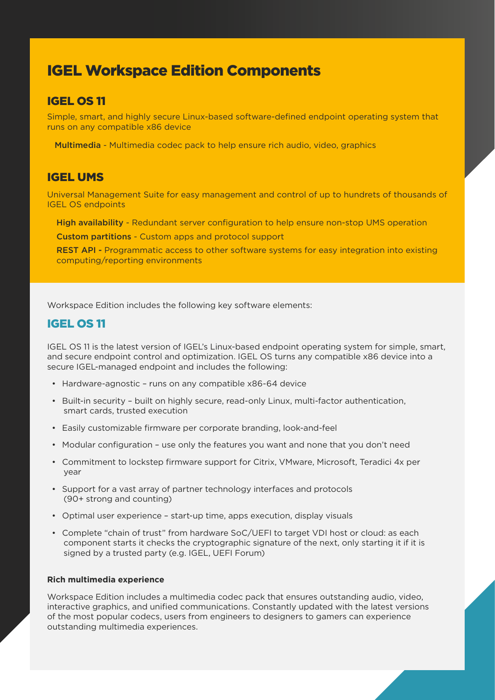# IGEL Workspace Edition Components

## IGEL OS 11

Simple, smart, and highly secure Linux-based software-defined endpoint operating system that runs on any compatible x86 device

Multimedia - Multimedia codec pack to help ensure rich audio, video, graphics

## IGEL UMS

Universal Management Suite for easy management and control of up to hundrets of thousands of IGEL OS endpoints

High availability - Redundant server configuration to help ensure non-stop UMS operation

Custom partitions - Custom apps and protocol support

REST API - Programmatic access to other software systems for easy integration into existing computing/reporting environments

Workspace Edition includes the following key software elements:

## IGEL OS 11

IGEL OS 11 is the latest version of IGEL's Linux-based endpoint operating system for simple, smart, and secure endpoint control and optimization. IGEL OS turns any compatible x86 device into a secure IGEL-managed endpoint and includes the following:

- Hardware-agnostic runs on any compatible x86-64 device
- Built-in security built on highly secure, read-only Linux, multi-factor authentication, smart cards, trusted execution
- Easily customizable firmware per corporate branding, look-and-feel
- Modular configuration use only the features you want and none that you don't need
- Commitment to lockstep firmware support for Citrix, VMware, Microsoft, Teradici 4x per year
- Support for a vast array of partner technology interfaces and protocols (90+ strong and counting)
- Optimal user experience start-up time, apps execution, display visuals
- Complete "chain of trust" from hardware SoC/UEFI to target VDI host or cloud: as each component starts it checks the cryptographic signature of the next, only starting it if it is signed by a trusted party (e.g. IGEL, UEFI Forum)

#### **Rich multimedia experience**

Workspace Edition includes a multimedia codec pack that ensures outstanding audio, video, interactive graphics, and unified communications. Constantly updated with the latest versions of the most popular codecs, users from engineers to designers to gamers can experience outstanding multimedia experiences.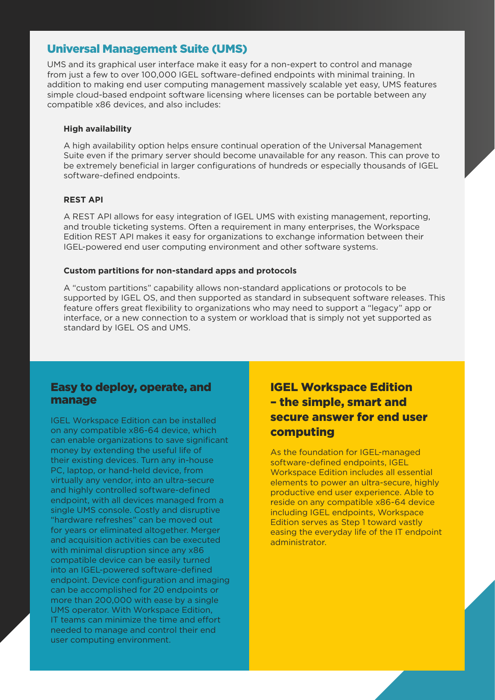## Universal Management Suite (UMS)

UMS and its graphical user interface make it easy for a non-expert to control and manage from just a few to over 100,000 IGEL software-defined endpoints with minimal training. In addition to making end user computing management massively scalable yet easy, UMS features simple cloud-based endpoint software licensing where licenses can be portable between any compatible x86 devices, and also includes:

#### **High availability**

A high availability option helps ensure continual operation of the Universal Management Suite even if the primary server should become unavailable for any reason. This can prove to be extremely beneficial in larger configurations of hundreds or especially thousands of IGEL software-defined endpoints.

#### **REST API**

A REST API allows for easy integration of IGEL UMS with existing management, reporting, and trouble ticketing systems. Often a requirement in many enterprises, the Workspace Edition REST API makes it easy for organizations to exchange information between their IGEL-powered end user computing environment and other software systems.

#### **Custom partitions for non-standard apps and protocols**

A "custom partitions" capability allows non-standard applications or protocols to be supported by IGEL OS, and then supported as standard in subsequent software releases. This feature offers great flexibility to organizations who may need to support a "legacy" app or interface, or a new connection to a system or workload that is simply not yet supported as standard by IGEL OS and UMS.

### Easy to deploy, operate, and manage

IGEL Workspace Edition can be installed on any compatible x86-64 device, which can enable organizations to save significant money by extending the useful life of their existing devices. Turn any in-house PC, laptop, or hand-held device, from virtually any vendor, into an ultra-secure and highly controlled software-defined endpoint, with all devices managed from a single UMS console. Costly and disruptive "hardware refreshes" can be moved out for years or eliminated altogether. Merger and acquisition activities can be executed with minimal disruption since any x86 compatible device can be easily turned into an IGEL-powered software-defined endpoint. Device configuration and imaging can be accomplished for 20 endpoints or more than 200,000 with ease by a single UMS operator. With Workspace Edition, IT teams can minimize the time and effort needed to manage and control their end user computing environment.

# IGEL Workspace Edition – the simple, smart and secure answer for end user computing

As the foundation for IGEL-managed software-defined endpoints, IGEL Workspace Edition includes all essential elements to power an ultra-secure, highly productive end user experience. Able to reside on any compatible x86-64 device including IGEL endpoints, Workspace Edition serves as Step 1 toward vastly easing the everyday life of the IT endpoint administrator.